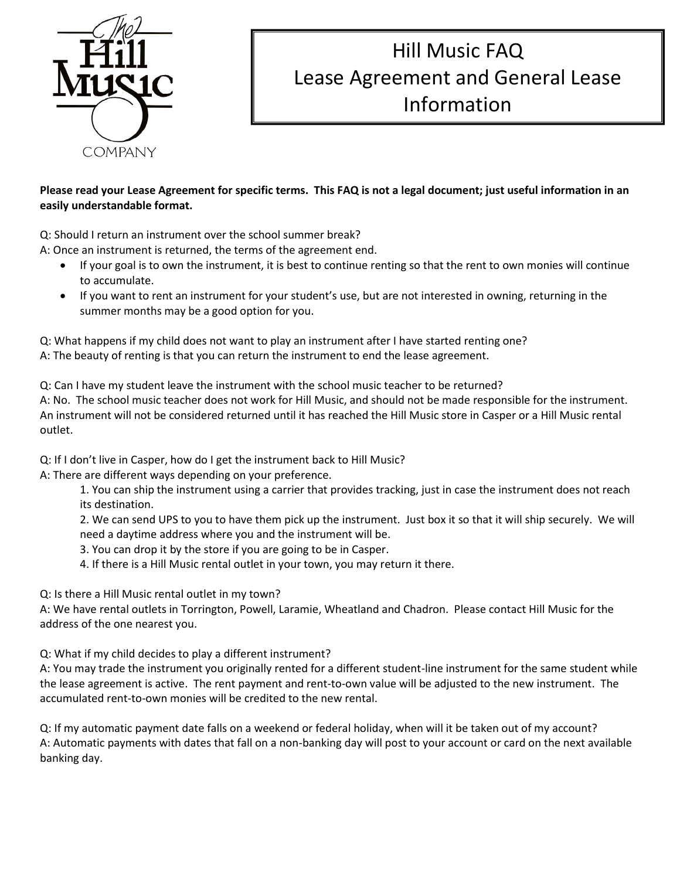

## Hill Music FAQ Lease Agreement and General Lease Information

## **Please read your Lease Agreement for specific terms. This FAQ is not a legal document; just useful information in an easily understandable format.**

Q: Should I return an instrument over the school summer break?

A: Once an instrument is returned, the terms of the agreement end.

- If your goal is to own the instrument, it is best to continue renting so that the rent to own monies will continue to accumulate.
- If you want to rent an instrument for your student's use, but are not interested in owning, returning in the summer months may be a good option for you.

Q: What happens if my child does not want to play an instrument after I have started renting one? A: The beauty of renting is that you can return the instrument to end the lease agreement.

Q: Can I have my student leave the instrument with the school music teacher to be returned? A: No. The school music teacher does not work for Hill Music, and should not be made responsible for the instrument. An instrument will not be considered returned until it has reached the Hill Music store in Casper or a Hill Music rental outlet.

Q: If I don't live in Casper, how do I get the instrument back to Hill Music?

A: There are different ways depending on your preference.

1. You can ship the instrument using a carrier that provides tracking, just in case the instrument does not reach its destination.

2. We can send UPS to you to have them pick up the instrument. Just box it so that it will ship securely. We will need a daytime address where you and the instrument will be.

3. You can drop it by the store if you are going to be in Casper.

4. If there is a Hill Music rental outlet in your town, you may return it there.

Q: Is there a Hill Music rental outlet in my town?

A: We have rental outlets in Torrington, Powell, Laramie, Wheatland and Chadron. Please contact Hill Music for the address of the one nearest you.

Q: What if my child decides to play a different instrument?

A: You may trade the instrument you originally rented for a different student-line instrument for the same student while the lease agreement is active. The rent payment and rent-to-own value will be adjusted to the new instrument. The accumulated rent-to-own monies will be credited to the new rental.

Q: If my automatic payment date falls on a weekend or federal holiday, when will it be taken out of my account? A: Automatic payments with dates that fall on a non-banking day will post to your account or card on the next available banking day.